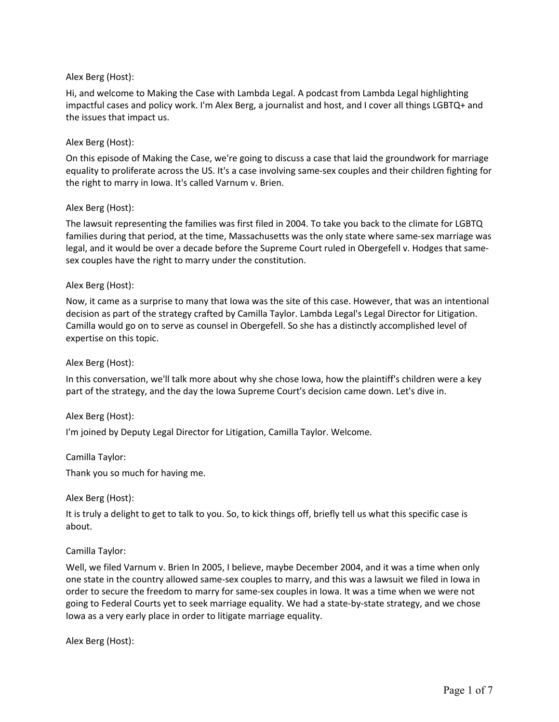# Alex Berg (Host):

Hi, and welcome to Making the Case with Lambda Legal. A podcast from Lambda Legal highlighting impactful cases and policy work. I'm Alex Berg, a journalist and host, and I cover all things LGBTQ+ and the issues that impact us.

# Alex Berg (Host):

On this episode of Making the Case, we're going to discuss a case that laid the groundwork for marriage equality to proliferate across the US. It's a case involving same-sex couples and their children fighting for the right to marry in Iowa. It's called Varnum v. Brien.

## Alex Berg (Host):

The lawsuit representing the families was first filed in 2004. To take you back to the climate for LGBTQ families during that period, at the time, Massachusetts was the only state where same-sex marriage was legal, and it would be over a decade before the Supreme Court ruled in Obergefell v. Hodges that samesex couples have the right to marry under the constitution.

## Alex Berg (Host):

Now, it came as a surprise to many that Iowa was the site of this case. However, that was an intentional decision as part of the strategy crafted by Camilla Taylor. Lambda Legal's Legal Director for Litigation. Camilla would go on to serve as counsel in Obergefell. So she has a distinctly accomplished level of expertise on this topic.

#### Alex Berg (Host):

In this conversation, we'll talk more about why she chose Iowa, how the plaintiff's children were a key part of the strategy, and the day the Iowa Supreme Court's decision came down. Let's dive in.

#### Alex Berg (Host):

I'm joined by Deputy Legal Director for Litigation, Camilla Taylor. Welcome.

Camilla Taylor:

Thank you so much for having me.

Alex Berg (Host):

It is truly a delight to get to talk to you. So, to kick things off, briefly tell us what this specific case is about.

## Camilla Taylor:

Well, we filed Varnum v. Brien In 2005, I believe, maybe December 2004, and it was a time when only one state in the country allowed same-sex couples to marry, and this was a lawsuit we filed in Iowa in order to secure the freedom to marry for same-sex couples in Iowa. It was a time when we were not going to Federal Courts yet to seek marriage equality. We had a state-by-state strategy, and we chose Iowa as a very early place in order to litigate marriage equality.

Alex Berg (Host):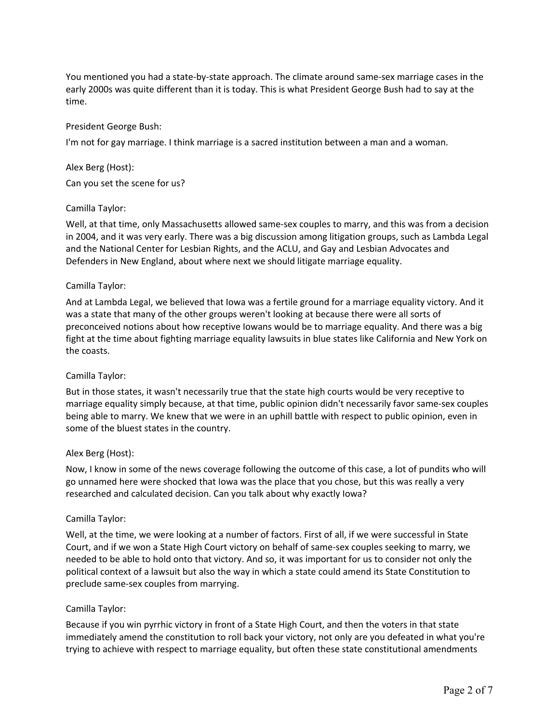You mentioned you had a state-by-state approach. The climate around same-sex marriage cases in the early 2000s was quite different than it is today. This is what President George Bush had to say at the time.

### President George Bush:

I'm not for gay marriage. I think marriage is a sacred institution between a man and a woman.

### Alex Berg (Host):

Can you set the scene for us?

### Camilla Taylor:

Well, at that time, only Massachusetts allowed same-sex couples to marry, and this was from a decision in 2004, and it was very early. There was a big discussion among litigation groups, such as Lambda Legal and the National Center for Lesbian Rights, and the ACLU, and Gay and Lesbian Advocates and Defenders in New England, about where next we should litigate marriage equality.

### Camilla Taylor:

And at Lambda Legal, we believed that Iowa was a fertile ground for a marriage equality victory. And it was a state that many of the other groups weren't looking at because there were all sorts of preconceived notions about how receptive Iowans would be to marriage equality. And there was a big fight at the time about fighting marriage equality lawsuits in blue states like California and New York on the coasts.

#### Camilla Taylor:

But in those states, it wasn't necessarily true that the state high courts would be very receptive to marriage equality simply because, at that time, public opinion didn't necessarily favor same-sex couples being able to marry. We knew that we were in an uphill battle with respect to public opinion, even in some of the bluest states in the country.

#### Alex Berg (Host):

Now, I know in some of the news coverage following the outcome of this case, a lot of pundits who will go unnamed here were shocked that Iowa was the place that you chose, but this was really a very researched and calculated decision. Can you talk about why exactly Iowa?

## Camilla Taylor:

Well, at the time, we were looking at a number of factors. First of all, if we were successful in State Court, and if we won a State High Court victory on behalf of same-sex couples seeking to marry, we needed to be able to hold onto that victory. And so, it was important for us to consider not only the political context of a lawsuit but also the way in which a state could amend its State Constitution to preclude same-sex couples from marrying.

## Camilla Taylor:

Because if you win pyrrhic victory in front of a State High Court, and then the voters in that state immediately amend the constitution to roll back your victory, not only are you defeated in what you're trying to achieve with respect to marriage equality, but often these state constitutional amendments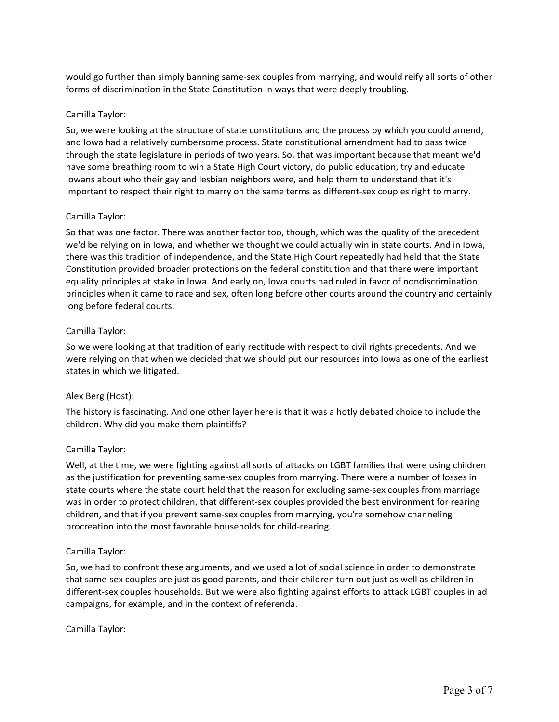would go further than simply banning same-sex couples from marrying, and would reify all sorts of other forms of discrimination in the State Constitution in ways that were deeply troubling.

# Camilla Taylor:

So, we were looking at the structure of state constitutions and the process by which you could amend, and Iowa had a relatively cumbersome process. State constitutional amendment had to pass twice through the state legislature in periods of two years. So, that was important because that meant we'd have some breathing room to win a State High Court victory, do public education, try and educate Iowans about who their gay and lesbian neighbors were, and help them to understand that it's important to respect their right to marry on the same terms as different-sex couples right to marry.

## Camilla Taylor:

So that was one factor. There was another factor too, though, which was the quality of the precedent we'd be relying on in Iowa, and whether we thought we could actually win in state courts. And in Iowa, there was this tradition of independence, and the State High Court repeatedly had held that the State Constitution provided broader protections on the federal constitution and that there were important equality principles at stake in Iowa. And early on, Iowa courts had ruled in favor of nondiscrimination principles when it came to race and sex, often long before other courts around the country and certainly long before federal courts.

## Camilla Taylor:

So we were looking at that tradition of early rectitude with respect to civil rights precedents. And we were relying on that when we decided that we should put our resources into Iowa as one of the earliest states in which we litigated.

## Alex Berg (Host):

The history is fascinating. And one other layer here is that it was a hotly debated choice to include the children. Why did you make them plaintiffs?

## Camilla Taylor:

Well, at the time, we were fighting against all sorts of attacks on LGBT families that were using children as the justification for preventing same-sex couples from marrying. There were a number of losses in state courts where the state court held that the reason for excluding same-sex couples from marriage was in order to protect children, that different-sex couples provided the best environment for rearing children, and that if you prevent same-sex couples from marrying, you're somehow channeling procreation into the most favorable households for child-rearing.

## Camilla Taylor:

So, we had to confront these arguments, and we used a lot of social science in order to demonstrate that same-sex couples are just as good parents, and their children turn out just as well as children in different-sex couples households. But we were also fighting against efforts to attack LGBT couples in ad campaigns, for example, and in the context of referenda.

## Camilla Taylor: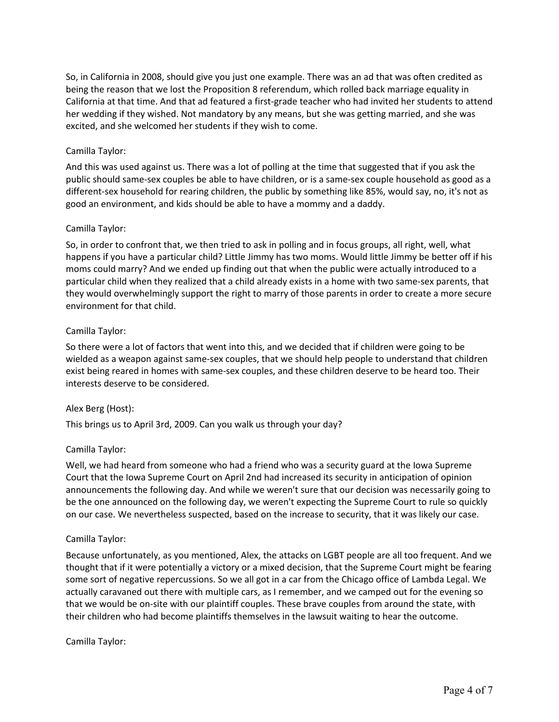So, in California in 2008, should give you just one example. There was an ad that was often credited as being the reason that we lost the Proposition 8 referendum, which rolled back marriage equality in California at that time. And that ad featured a first-grade teacher who had invited her students to attend her wedding if they wished. Not mandatory by any means, but she was getting married, and she was excited, and she welcomed her students if they wish to come.

## Camilla Taylor:

And this was used against us. There was a lot of polling at the time that suggested that if you ask the public should same-sex couples be able to have children, or is a same-sex couple household as good as a different-sex household for rearing children, the public by something like 85%, would say, no, it's not as good an environment, and kids should be able to have a mommy and a daddy.

### Camilla Taylor:

So, in order to confront that, we then tried to ask in polling and in focus groups, all right, well, what happens if you have a particular child? Little Jimmy has two moms. Would little Jimmy be better off if his moms could marry? And we ended up finding out that when the public were actually introduced to a particular child when they realized that a child already exists in a home with two same-sex parents, that they would overwhelmingly support the right to marry of those parents in order to create a more secure environment for that child.

### Camilla Taylor:

So there were a lot of factors that went into this, and we decided that if children were going to be wielded as a weapon against same-sex couples, that we should help people to understand that children exist being reared in homes with same-sex couples, and these children deserve to be heard too. Their interests deserve to be considered.

## Alex Berg (Host):

This brings us to April 3rd, 2009. Can you walk us through your day?

#### Camilla Taylor:

Well, we had heard from someone who had a friend who was a security guard at the Iowa Supreme Court that the Iowa Supreme Court on April 2nd had increased its security in anticipation of opinion announcements the following day. And while we weren't sure that our decision was necessarily going to be the one announced on the following day, we weren't expecting the Supreme Court to rule so quickly on our case. We nevertheless suspected, based on the increase to security, that it was likely our case.

#### Camilla Taylor:

Because unfortunately, as you mentioned, Alex, the attacks on LGBT people are all too frequent. And we thought that if it were potentially a victory or a mixed decision, that the Supreme Court might be fearing some sort of negative repercussions. So we all got in a car from the Chicago office of Lambda Legal. We actually caravaned out there with multiple cars, as I remember, and we camped out for the evening so that we would be on-site with our plaintiff couples. These brave couples from around the state, with their children who had become plaintiffs themselves in the lawsuit waiting to hear the outcome.

#### Camilla Taylor: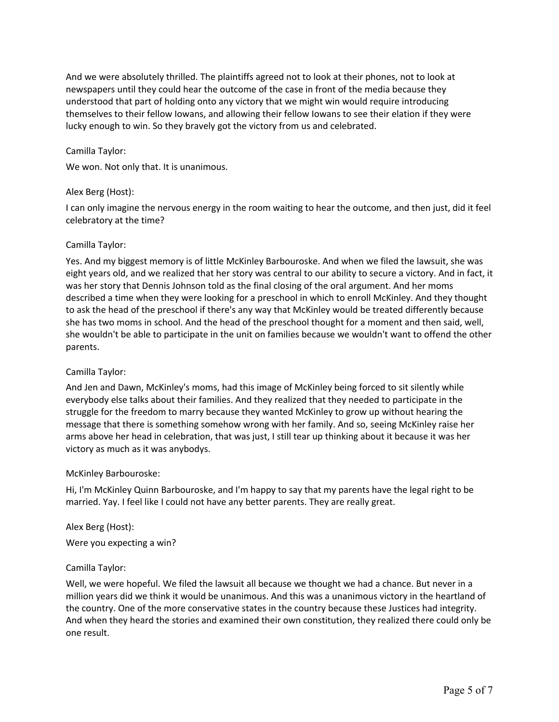And we were absolutely thrilled. The plaintiffs agreed not to look at their phones, not to look at newspapers until they could hear the outcome of the case in front of the media because they understood that part of holding onto any victory that we might win would require introducing themselves to their fellow Iowans, and allowing their fellow Iowans to see their elation if they were lucky enough to win. So they bravely got the victory from us and celebrated.

### Camilla Taylor:

We won. Not only that. It is unanimous.

### Alex Berg (Host):

I can only imagine the nervous energy in the room waiting to hear the outcome, and then just, did it feel celebratory at the time?

### Camilla Taylor:

Yes. And my biggest memory is of little McKinley Barbouroske. And when we filed the lawsuit, she was eight years old, and we realized that her story was central to our ability to secure a victory. And in fact, it was her story that Dennis Johnson told as the final closing of the oral argument. And her moms described a time when they were looking for a preschool in which to enroll McKinley. And they thought to ask the head of the preschool if there's any way that McKinley would be treated differently because she has two moms in school. And the head of the preschool thought for a moment and then said, well, she wouldn't be able to participate in the unit on families because we wouldn't want to offend the other parents.

#### Camilla Taylor:

And Jen and Dawn, McKinley's moms, had this image of McKinley being forced to sit silently while everybody else talks about their families. And they realized that they needed to participate in the struggle for the freedom to marry because they wanted McKinley to grow up without hearing the message that there is something somehow wrong with her family. And so, seeing McKinley raise her arms above her head in celebration, that was just, I still tear up thinking about it because it was her victory as much as it was anybodys.

#### McKinley Barbouroske:

Hi, I'm McKinley Quinn Barbouroske, and I'm happy to say that my parents have the legal right to be married. Yay. I feel like I could not have any better parents. They are really great.

## Alex Berg (Host):

Were you expecting a win?

#### Camilla Taylor:

Well, we were hopeful. We filed the lawsuit all because we thought we had a chance. But never in a million years did we think it would be unanimous. And this was a unanimous victory in the heartland of the country. One of the more conservative states in the country because these Justices had integrity. And when they heard the stories and examined their own constitution, they realized there could only be one result.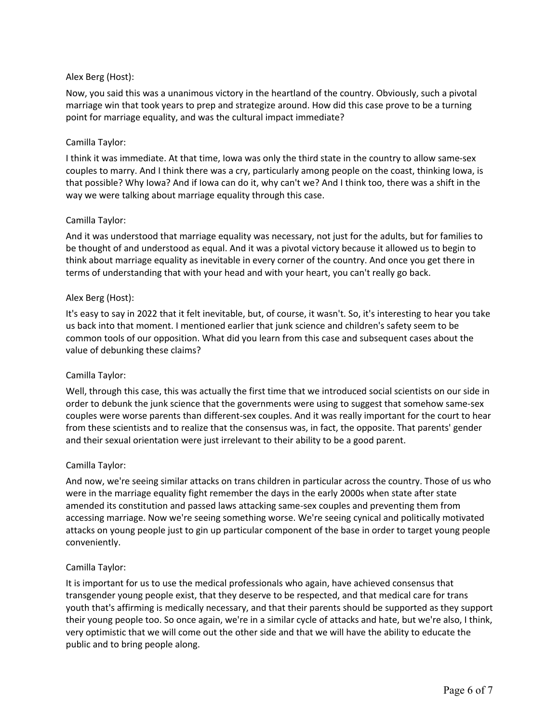# Alex Berg (Host):

Now, you said this was a unanimous victory in the heartland of the country. Obviously, such a pivotal marriage win that took years to prep and strategize around. How did this case prove to be a turning point for marriage equality, and was the cultural impact immediate?

# Camilla Taylor:

I think it was immediate. At that time, Iowa was only the third state in the country to allow same-sex couples to marry. And I think there was a cry, particularly among people on the coast, thinking Iowa, is that possible? Why Iowa? And if Iowa can do it, why can't we? And I think too, there was a shift in the way we were talking about marriage equality through this case.

# Camilla Taylor:

And it was understood that marriage equality was necessary, not just for the adults, but for families to be thought of and understood as equal. And it was a pivotal victory because it allowed us to begin to think about marriage equality as inevitable in every corner of the country. And once you get there in terms of understanding that with your head and with your heart, you can't really go back.

## Alex Berg (Host):

It's easy to say in 2022 that it felt inevitable, but, of course, it wasn't. So, it's interesting to hear you take us back into that moment. I mentioned earlier that junk science and children's safety seem to be common tools of our opposition. What did you learn from this case and subsequent cases about the value of debunking these claims?

## Camilla Taylor:

Well, through this case, this was actually the first time that we introduced social scientists on our side in order to debunk the junk science that the governments were using to suggest that somehow same-sex couples were worse parents than different-sex couples. And it was really important for the court to hear from these scientists and to realize that the consensus was, in fact, the opposite. That parents' gender and their sexual orientation were just irrelevant to their ability to be a good parent.

## Camilla Taylor:

And now, we're seeing similar attacks on trans children in particular across the country. Those of us who were in the marriage equality fight remember the days in the early 2000s when state after state amended its constitution and passed laws attacking same-sex couples and preventing them from accessing marriage. Now we're seeing something worse. We're seeing cynical and politically motivated attacks on young people just to gin up particular component of the base in order to target young people conveniently.

## Camilla Taylor:

It is important for us to use the medical professionals who again, have achieved consensus that transgender young people exist, that they deserve to be respected, and that medical care for trans youth that's affirming is medically necessary, and that their parents should be supported as they support their young people too. So once again, we're in a similar cycle of attacks and hate, but we're also, I think, very optimistic that we will come out the other side and that we will have the ability to educate the public and to bring people along.